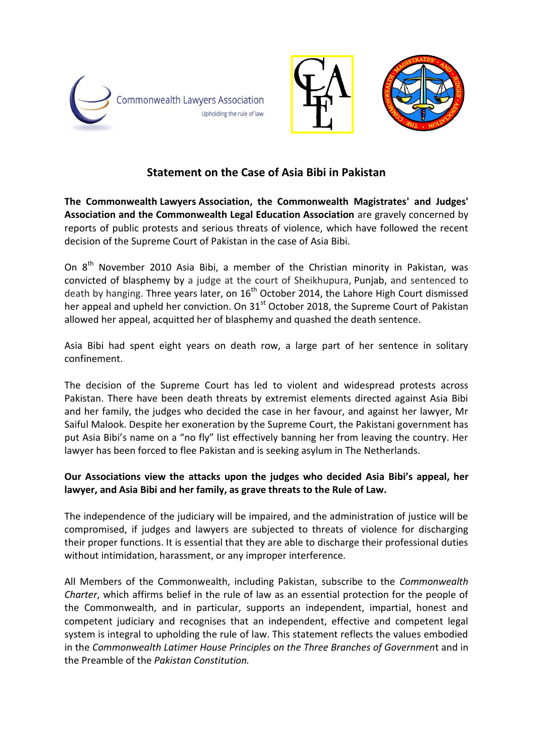



# **Statement on the Case of Asia Bibi in Pakistan**

**The Commonwealth Lawyers Association, the Commonwealth Magistrates' and Judges' Association and the Commonwealth Legal Education Association** are gravely concerned by reports of public protests and serious threats of violence, which have followed the recent decision of the Supreme Court of Pakistan in the case of Asia Bibi.

On  $8<sup>th</sup>$  November 2010 Asia Bibi, a member of the Christian minority in Pakistan, was convicted of blasphemy by a judge at the court of Sheikhupura, [Punjab,](https://en.wikipedia.org/wiki/Punjab,_Pakistan) and sentenced to death by hanging. Three years later, on  $16<sup>th</sup>$  October 2014, the Lahore High Court dismissed her appeal and upheld her conviction. On 31<sup>st</sup> October 2018, the Supreme Court of Pakistan allowed her appeal, acquitted her of blasphemy and quashed the death sentence.

Asia Bibi had spent eight years on death row, a large part of her sentence in solitary confinement.

The decision of the Supreme Court has led to violent and widespread protests across Pakistan. There have been death threats by extremist elements directed against Asia Bibi and her family, the judges who decided the case in her favour, and against her lawyer, Mr Saiful Malook. Despite her exoneration by the Supreme Court, the Pakistani government has put Asia Bibi's name on a "no fly" list effectively banning her from leaving the country. Her lawyer has been forced to flee Pakistan and is seeking asylum in The Netherlands.

## **Our Associations view the attacks upon the judges who decided Asia Bibi's appeal, her lawyer, and Asia Bibi and her family, as grave threats to the Rule of Law.**

The independence of the judiciary will be impaired, and the administration of justice will be compromised, if judges and lawyers are subjected to threats of violence for discharging their proper functions. It is essential that they are able to discharge their professional duties without intimidation, harassment, or any improper interference.

All Members of the Commonwealth, including Pakistan, subscribe to the *Commonwealth Charter*, which affirms belief in the rule of law as an essential protection for the people of the Commonwealth, and in particular, supports an independent, impartial, honest and competent judiciary and recognises that an independent, effective and competent legal system is integral to upholding the rule of law. This statement reflects the values embodied in the *Commonwealth Latimer House Principles on the Three Branches of Governmen*t and in the Preamble of the *Pakistan Constitution.*